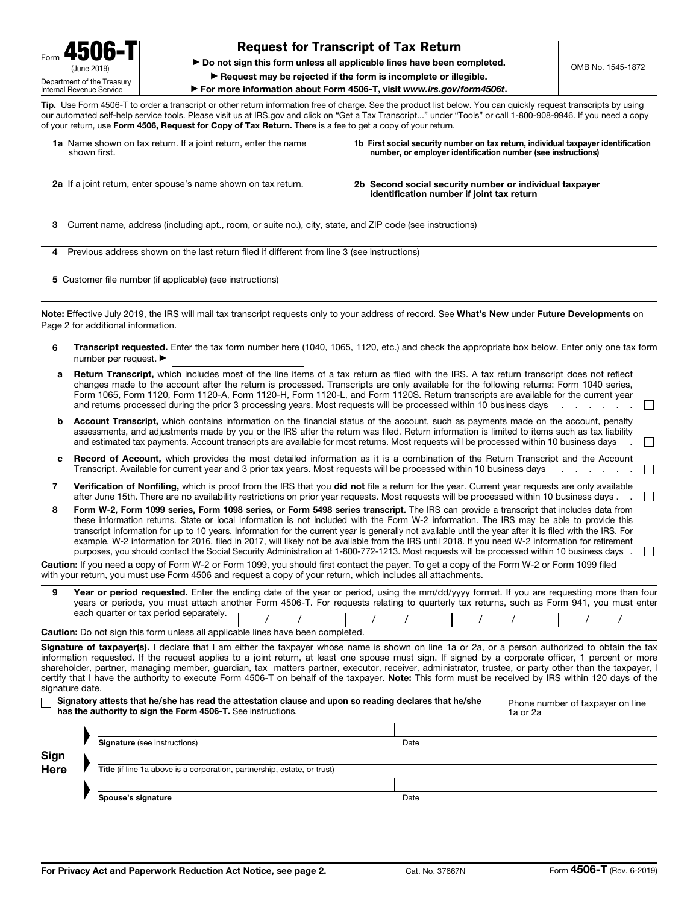## Request for Transcript of Tax Return

▶ Do not sign this form unless all applicable lines have been completed.

▶ Request may be rejected if the form is incomplete or illegible.

▶ For more information about Form 4506-T, visit www.irs.gov/form4506t.

Tip. Use Form 4506-T to order a transcript or other return information free of charge. See the product list below. You can quickly request transcripts by using our automated self-help service tools. Please visit us at IRS.gov and click on "Get a Tax Transcript..." under "Tools" or call 1-800-908-9946. If you need a copy of your return, use Form 4506, Request for Copy of Tax Return. There is a fee to get a copy of your return.

| 1a Name shown on tax return. If a joint return, enter the name<br>shown first.                                | 1b First social security number on tax return, individual taxpayer identification<br>number, or employer identification number (see instructions) |  |
|---------------------------------------------------------------------------------------------------------------|---------------------------------------------------------------------------------------------------------------------------------------------------|--|
| 2a If a joint return, enter spouse's name shown on tax return.                                                | 2b Second social security number or individual taxpayer<br>identification number if joint tax return                                              |  |
| Current name, address (including apt., room, or suite no.), city, state, and ZIP code (see instructions)<br>3 |                                                                                                                                                   |  |
| Previous address shown on the last return filed if different from line 3 (see instructions)<br>4              |                                                                                                                                                   |  |
| 5 Customer file number (if applicable) (see instructions)                                                     |                                                                                                                                                   |  |
| Page 2 for additional information.                                                                            | Note: Effective July 2019, the IRS will mail tax transcript requests only to your address of record. See What's New under Future Developments on  |  |

6 Transcript requested. Enter the tax form number here (1040, 1065, 1120, etc.) and check the appropriate box below. Enter only one tax form

|              | number per request. ▶                                                                                                                                                                                                                                                                                                                                                                                                                                                                                                                                                                                                                                                                                                                                                                                                                                               |  |  |  |
|--------------|---------------------------------------------------------------------------------------------------------------------------------------------------------------------------------------------------------------------------------------------------------------------------------------------------------------------------------------------------------------------------------------------------------------------------------------------------------------------------------------------------------------------------------------------------------------------------------------------------------------------------------------------------------------------------------------------------------------------------------------------------------------------------------------------------------------------------------------------------------------------|--|--|--|
| a            | Return Transcript, which includes most of the line items of a tax return as filed with the IRS. A tax return transcript does not reflect<br>changes made to the account after the return is processed. Transcripts are only available for the following returns: Form 1040 series,<br>Form 1065, Form 1120, Form 1120-A, Form 1120-H, Form 1120-L, and Form 1120S. Return transcripts are available for the current year<br>and returns processed during the prior 3 processing years. Most requests will be processed within 10 business days<br>$\vert \ \ \vert$                                                                                                                                                                                                                                                                                                 |  |  |  |
| b            | Account Transcript, which contains information on the financial status of the account, such as payments made on the account, penalty<br>assessments, and adjustments made by you or the IRS after the return was filed. Return information is limited to items such as tax liability<br>and estimated tax payments. Account transcripts are available for most returns. Most requests will be processed within 10 business days                                                                                                                                                                                                                                                                                                                                                                                                                                     |  |  |  |
| с            | Record of Account, which provides the most detailed information as it is a combination of the Return Transcript and the Account<br>Transcript. Available for current year and 3 prior tax years. Most requests will be processed within 10 business days                                                                                                                                                                                                                                                                                                                                                                                                                                                                                                                                                                                                            |  |  |  |
| 7            | Verification of Nonfiling, which is proof from the IRS that you did not file a return for the year. Current year requests are only available<br>after June 15th. There are no availability restrictions on prior year requests. Most requests will be processed within 10 business days.                                                                                                                                                                                                                                                                                                                                                                                                                                                                                                                                                                            |  |  |  |
| 8            | Form W-2, Form 1099 series, Form 1098 series, or Form 5498 series transcript. The IRS can provide a transcript that includes data from<br>these information returns. State or local information is not included with the Form W-2 information. The IRS may be able to provide this<br>transcript information for up to 10 years. Information for the current year is generally not available until the year after it is filed with the IRS. For<br>example, W-2 information for 2016, filed in 2017, will likely not be available from the IRS until 2018. If you need W-2 information for retirement<br>purposes, you should contact the Social Security Administration at 1-800-772-1213. Most requests will be processed within 10 business days.                                                                                                                |  |  |  |
|              | Caution: If you need a copy of Form W-2 or Form 1099, you should first contact the payer. To get a copy of the Form W-2 or Form 1099 filed<br>with your return, you must use Form 4506 and request a copy of your return, which includes all attachments.                                                                                                                                                                                                                                                                                                                                                                                                                                                                                                                                                                                                           |  |  |  |
| 9            | Year or period requested. Enter the ending date of the year or period, using the mm/dd/yyyy format. If you are requesting more than four<br>years or periods, you must attach another Form 4506-T. For requests relating to quarterly tax returns, such as Form 941, you must enter<br>each quarter or tax period separately.                                                                                                                                                                                                                                                                                                                                                                                                                                                                                                                                       |  |  |  |
|              | Caution: Do not sign this form unless all applicable lines have been completed.                                                                                                                                                                                                                                                                                                                                                                                                                                                                                                                                                                                                                                                                                                                                                                                     |  |  |  |
|              | Signature of taxpayer(s). I declare that I am either the taxpayer whose name is shown on line 1a or 2a, or a person authorized to obtain the tax<br>information requested. If the request applies to a joint return, at least one spouse must sign. If signed by a corporate officer, 1 percent or more<br>shareholder, partner, managing member, guardian, tax matters partner, executor, receiver, administrator, trustee, or party other than the taxpayer, I<br>certify that I have the authority to execute Form 4506-T on behalf of the taxpayer. Note: This form must be received by IRS within 120 days of the<br>signature date.<br>Signatory attests that he/she has read the attestation clause and upon so reading declares that he/she<br>Phone number of taxpayer on line<br>has the authority to sign the Form 4506-T. See instructions.<br>1a or 2a |  |  |  |
|              | <b>Signature</b> (see instructions)<br>Date                                                                                                                                                                                                                                                                                                                                                                                                                                                                                                                                                                                                                                                                                                                                                                                                                         |  |  |  |
| Sign<br>Here | Title (if line 1a above is a corporation, partnership, estate, or trust)                                                                                                                                                                                                                                                                                                                                                                                                                                                                                                                                                                                                                                                                                                                                                                                            |  |  |  |
|              | Spouse's signature<br>Date                                                                                                                                                                                                                                                                                                                                                                                                                                                                                                                                                                                                                                                                                                                                                                                                                                          |  |  |  |
|              |                                                                                                                                                                                                                                                                                                                                                                                                                                                                                                                                                                                                                                                                                                                                                                                                                                                                     |  |  |  |

OMB No. 1545-1872